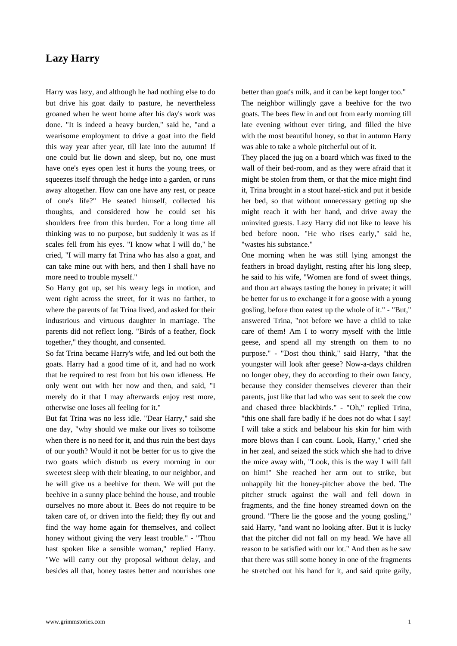## **Lazy Harry**

[Harry was lazy, an](https://www.grimmstories.com/en/grimm_fairy-tales/lazy_harry)d although he had nothing else to do but drive his goat daily to pasture, he nevertheless groaned when he went home after his day's work was done. "It is indeed a heavy burden," said he, "and a wearisome employment to drive a goat into the field this way year after year, till late into the autumn! If one could but lie down and sleep, but no, one must have one's eyes open lest it hurts the young trees, or squeezes itself through the hedge into a garden, or runs away altogether. How can one have any rest, or peace of one's life?" He seated himself, collected his thoughts, and considered how he could set his shoulders free from this burden. For a long time all thinking was to no purpose, but suddenly it was as if scales fell from his eyes. "I know what I will do," he cried, "I will marry fat Trina who has also a goat, and can take mine out with hers, and then I shall have no more need to trouble myself."

So Harry got up, set his weary legs in motion, and went right across the street, for it was no farther, to where the parents of fat Trina lived, and asked for their industrious and virtuous daughter in marriage. The parents did not reflect long. "Birds of a feather, flock together," they thought, and consented.

So fat Trina became Harry's wife, and led out both the goats. Harry had a good time of it, and had no work that he required to rest from but his own idleness. He only went out with her now and then, and said, "I merely do it that I may afterwards enjoy rest more, otherwise one loses all feeling for it."

But fat Trina was no less idle. "Dear Harry," said she one day, "why should we make our lives so toilsome when there is no need for it, and thus ruin the best days of our youth? Would it not be better for us to give the two goats which disturb us every morning in our sweetest sleep with their bleating, to our neighbor, and he will give us a beehive for them. We will put the beehive in a sunny place behind the house, and trouble ourselves no more about it. Bees do not require to be taken care of, or driven into the field; they fly out and find the way home again for themselves, and collect honey without giving the very least trouble." - "Thou hast spoken like a sensible woman," replied Harry. "We will carry out thy proposal without delay, and besides all that, honey tastes better and nourishes one better than goat's milk, and it can be kept longer too." The neighbor willingly gave a beehive for the two goats. The bees flew in and out from early morning till late evening without ever tiring, and filled the hive with the most beautiful honey, so that in autumn Harry was able to take a whole pitcherful out of it.

They placed the jug on a board which was fixed to the wall of their bed-room, and as they were afraid that it might be stolen from them, or that the mice might find it, Trina brought in a stout hazel-stick and put it beside her bed, so that without unnecessary getting up she might reach it with her hand, and drive away the uninvited guests. Lazy Harry did not like to leave his bed before noon. "He who rises early," said he, "wastes his substance."

One morning when he was still lying amongst the feathers in broad daylight, resting after his long sleep, he said to his wife, "Women are fond of sweet things, and thou art always tasting the honey in private; it will be better for us to exchange it for a goose with a young gosling, before thou eatest up the whole of it." - "But," answered Trina, "not before we have a child to take care of them! Am I to worry myself with the little geese, and spend all my strength on them to no purpose." - "Dost thou think," said Harry, "that the youngster will look after geese? Now-a-days children no longer obey, they do according to their own fancy, because they consider themselves cleverer than their parents, just like that lad who was sent to seek the cow and chased three blackbirds." - "Oh," replied Trina, "this one shall fare badly if he does not do what I say! I will take a stick and belabour his skin for him with more blows than I can count. Look, Harry," cried she in her zeal, and seized the stick which she had to drive the mice away with, "Look, this is the way I will fall on him!" She reached her arm out to strike, but unhappily hit the honey-pitcher above the bed. The pitcher struck against the wall and fell down in fragments, and the fine honey streamed down on the ground. "There lie the goose and the young gosling," said Harry, "and want no looking after. But it is lucky that the pitcher did not fall on my head. We have all reason to be satisfied with our lot." And then as he saw that there was still some honey in one of the fragments he stretched out his hand for it, and said quite gaily,